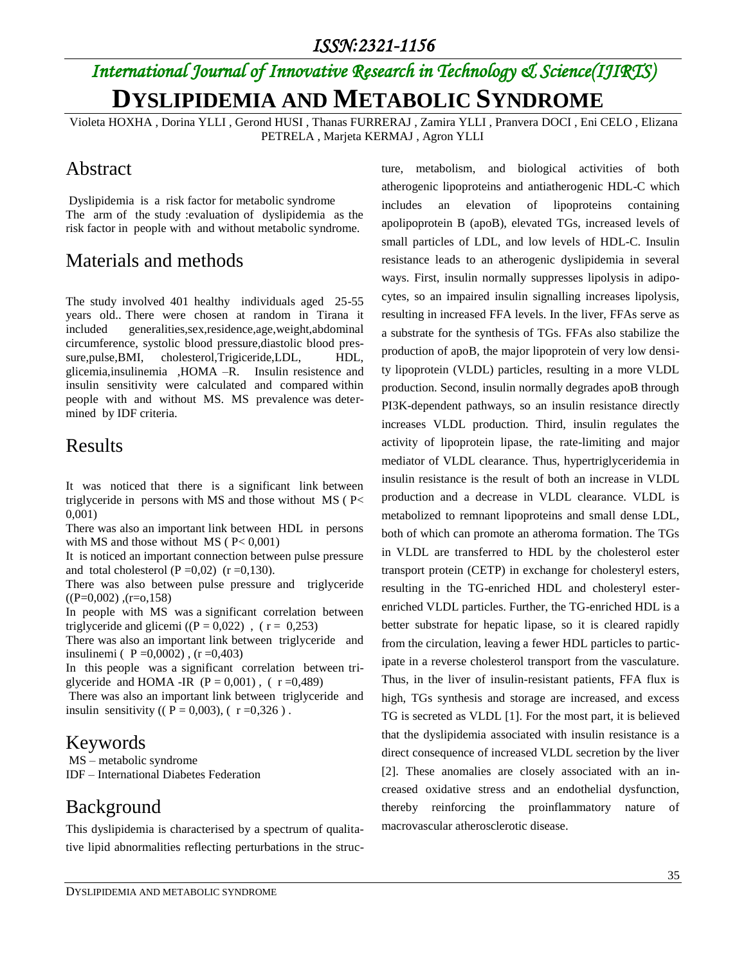# *International Journal of Innovative Research in Technology & Science(IJIRTS)* **DYSLIPIDEMIA AND METABOLIC SYNDROME**

Violeta HOXHA , Dorina YLLI , Gerond HUSI , Thanas FURRERAJ , Zamira YLLI , Pranvera DOCI , Eni CELO , Elizana PETRELA , Marjeta KERMAJ , Agron YLLI

#### Abstract

Dyslipidemia is a risk factor for metabolic syndrome The arm of the study :evaluation of dyslipidemia as the risk factor in people with and without metabolic syndrome.

### Materials and methods

The study involved 401 healthy individuals aged 25-55 years old.. There were chosen at random in Tirana it included generalities,sex,residence,age,weight,abdominal circumference, systolic blood pressure,diastolic blood pressure, pulse, BMI, cholesterol, Trigiceride, LDL, HDL, glicemia,insulinemia ,HOMA –R. Insulin resistence and insulin sensitivity were calculated and compared within people with and without MS. MS prevalence was determined by IDF criteria.

#### Results

It was noticed that there is a significant link between triglyceride in persons with MS and those without MS ( P< 0,001)

There was also an important link between HDL in persons with MS and those without MS ( $P < 0,001$ )

It is noticed an important connection between pulse pressure and total cholesterol  $(P=0.02)$   $(r=0.130)$ .

There was also between pulse pressure and triglyceride  $((P=0.002)$ ,  $(r=0.158)$ 

In people with MS was a significant correlation between triglyceride and glicemi  $(P = 0.022)$ ,  $(r = 0.253)$ 

There was also an important link between triglyceride and insulinemi (  $P = 0,0002$ ),  $(r = 0,403)$ 

In this people was a significant correlation between triglyceride and HOMA -IR  $(P = 0,001)$ ,  $(r = 0,489)$ 

There was also an important link between triglyceride and insulin sensitivity (( $P = 0,003$ ), ( $r = 0,326$ ).

#### Keywords

MS – metabolic syndrome IDF – International Diabetes Federation

## Background

This dyslipidemia is characterised by a spectrum of qualitative lipid abnormalities reflecting perturbations in the structure, metabolism, and biological activities of both atherogenic lipoproteins and antiatherogenic HDL-C which includes an elevation of lipoproteins containing apolipoprotein B (apoB), elevated TGs, increased levels of small particles of LDL, and low levels of HDL-C. Insulin resistance leads to an atherogenic dyslipidemia in several ways. First, insulin normally suppresses lipolysis in adipocytes, so an impaired insulin signalling increases lipolysis, resulting in increased FFA levels. In the liver, FFAs serve as a substrate for the synthesis of TGs. FFAs also stabilize the production of apoB, the major lipoprotein of very low density lipoprotein (VLDL) particles, resulting in a more VLDL production. Second, insulin normally degrades apoB through PI3K-dependent pathways, so an insulin resistance directly increases VLDL production. Third, insulin regulates the activity of lipoprotein lipase, the rate-limiting and major mediator of VLDL clearance. Thus, hypertriglyceridemia in insulin resistance is the result of both an increase in VLDL production and a decrease in VLDL clearance. VLDL is metabolized to remnant lipoproteins and small dense LDL, both of which can promote an atheroma formation. The TGs in VLDL are transferred to HDL by the cholesterol ester transport protein (CETP) in exchange for cholesteryl esters, resulting in the TG-enriched HDL and cholesteryl esterenriched VLDL particles. Further, the TG-enriched HDL is a better substrate for hepatic lipase, so it is cleared rapidly from the circulation, leaving a fewer HDL particles to participate in a reverse cholesterol transport from the vasculature. Thus, in the liver of insulin-resistant patients, FFA flux is high, TGs synthesis and storage are increased, and excess TG is secreted as VLDL [1]. For the most part, it is believed that the dyslipidemia associated with insulin resistance is a direct consequence of increased VLDL secretion by the liver [2]. These anomalies are closely associated with an increased oxidative stress and an endothelial dysfunction, thereby reinforcing the proinflammatory nature of macrovascular atherosclerotic disease.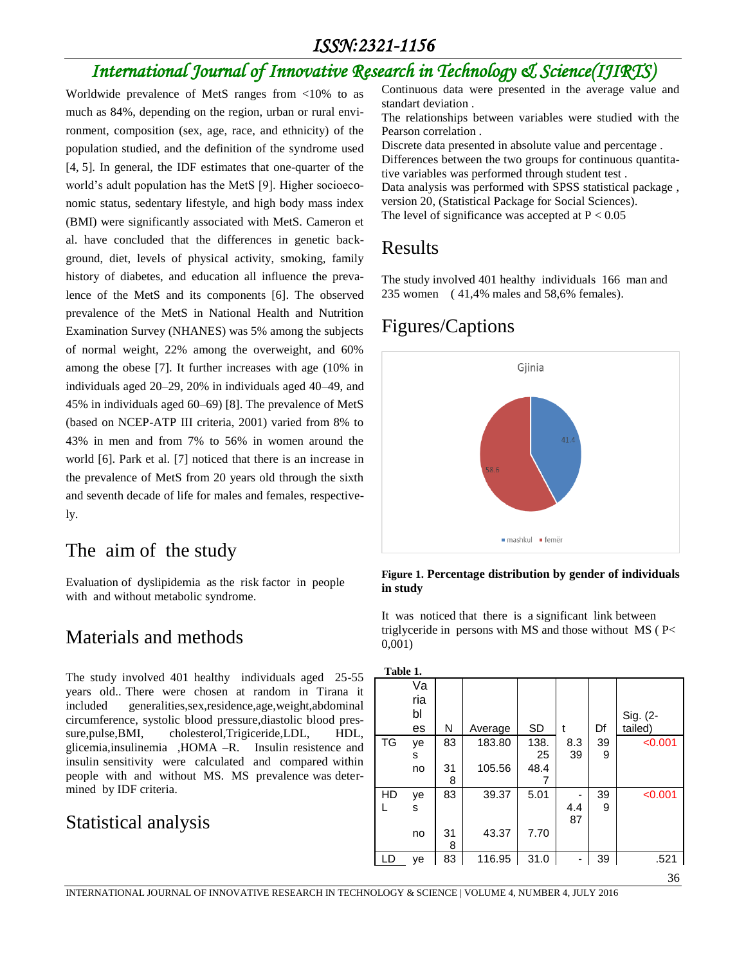#### *ISSN:2321-1156*

# *International Journal of Innovative Research in Technology & Science(IJIRTS)*

Worldwide prevalence of MetS ranges from <10% to as much as 84%, depending on the region, urban or rural environment, composition (sex, age, race, and ethnicity) of the population studied, and the definition of the syndrome used [4, 5]. In general, the IDF estimates that one-quarter of the world's adult population has the MetS [9]. Higher socioeconomic status, sedentary lifestyle, and high body mass index (BMI) were significantly associated with MetS. Cameron et al. have concluded that the differences in genetic background, diet, levels of physical activity, smoking, family history of diabetes, and education all influence the prevalence of the MetS and its components [6]. The observed prevalence of the MetS in National Health and Nutrition Examination Survey (NHANES) was 5% among the subjects of normal weight, 22% among the overweight, and 60% among the obese [7]. It further increases with age (10% in individuals aged 20–29, 20% in individuals aged 40–49, and 45% in individuals aged 60–69) [8]. The prevalence of MetS (based on NCEP-ATP III criteria, 2001) varied from 8% to 43% in men and from 7% to 56% in women around the world [6]. Park et al. [7] noticed that there is an increase in the prevalence of MetS from 20 years old through the sixth and seventh decade of life for males and females, respectively.

#### The aim of the study

Evaluation of dyslipidemia as the risk factor in people with and without metabolic syndrome.

#### Materials and methods

The study involved 401 healthy individuals aged 25-55 years old.. There were chosen at random in Tirana it included generalities,sex,residence,age,weight,abdominal circumference, systolic blood pressure,diastolic blood pressure,pulse,BMI, cholesterol,Trigiceride,LDL, HDL, glicemia,insulinemia ,HOMA –R. Insulin resistence and insulin sensitivity were calculated and compared within people with and without MS. MS prevalence was determined by IDF criteria.

#### Statistical analysis

Continuous data were presented in the average value and standart deviation .

The relationships between variables were studied with the Pearson correlation .

Discrete data presented in absolute value and percentage . Differences between the two groups for continuous quantitative variables was performed through student test . Data analysis was performed with SPSS statistical package , version 20, (Statistical Package for Social Sciences).

The level of significance was accepted at  $P < 0.05$ 

#### Results

The study involved 401 healthy individuals 166 man and 235 women ( 41,4% males and 58,6% females).

### Figures/Captions



**Figure 1. Percentage distribution by gender of individuals in study**

It was noticed that there is a significant link between triglyceride in persons with MS and those without MS ( P< 0,001)

| Table 1.  |     |    |         |           |     |    |          |
|-----------|-----|----|---------|-----------|-----|----|----------|
|           | Va  |    |         |           |     |    |          |
|           | ria |    |         |           |     |    |          |
|           | bl  |    |         |           |     |    | Sig. (2- |
|           | es  | N  | Average | <b>SD</b> | t   | Df | tailed)  |
| <b>TG</b> | ye  | 83 | 183.80  | 138.      | 8.3 | 39 | < 0.001  |
|           | s   |    |         | 25        | 39  | 9  |          |
|           | no  | 31 | 105.56  | 48.4      |     |    |          |
|           |     | 8  |         |           |     |    |          |
| HD        | ye  | 83 | 39.37   | 5.01      |     | 39 | < 0.001  |
|           | s   |    |         |           | 4.4 | 9  |          |
|           |     |    |         |           | 87  |    |          |
|           | no  | 31 | 43.37   | 7.70      |     |    |          |
|           |     | 8  |         |           |     |    |          |
| LD        | ye  | 83 | 116.95  | 31.0      |     | 39 | .521     |
|           |     |    |         |           |     |    |          |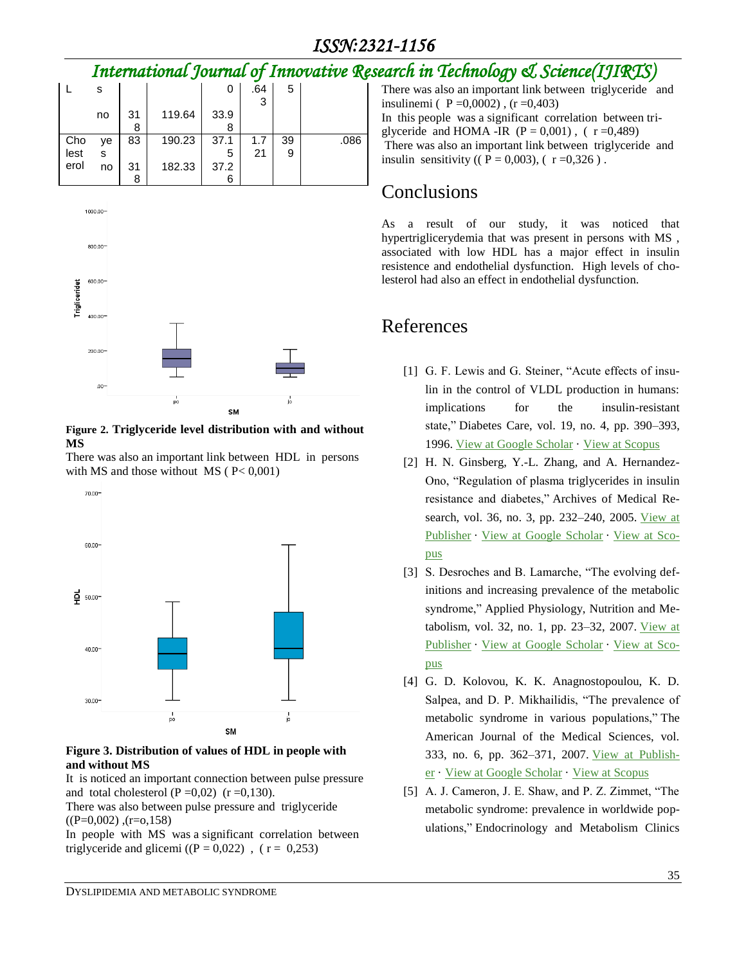# *International Journal of Innovative Research in Technology & Science(IJIRTS)*

|  |      |    |    |        |      |     |    | ີ    |
|--|------|----|----|--------|------|-----|----|------|
|  |      | s  |    |        | O    | .64 | 5  |      |
|  |      |    |    |        |      | 3   |    |      |
|  |      | no | 31 | 119.64 | 33.9 |     |    |      |
|  |      |    | 8  |        | 8    |     |    |      |
|  | Cho  | ye | 83 | 190.23 | 37.1 | 1.7 | 39 | .086 |
|  | lest | s  |    |        | 5    | 21  | 9  |      |
|  | erol | no | 31 | 182.33 | 37.2 |     |    |      |
|  |      |    | 8  |        |      |     |    |      |



#### **Figure 2. Triglyceride level distribution with and without MS**

There was also an important link between HDL in persons with MS and those without  $MS$  ( $P < 0.001$ )



#### **Figure 3. Distribution of values of HDL in people with and without MS**

It is noticed an important connection between pulse pressure and total cholesterol  $(P=0,02)$   $(r=0,130)$ .

There was also between pulse pressure and triglyceride  $((P=0.002)$ ,  $(r=0.158)$ 

In people with MS was a significant correlation between triglyceride and glicemi ( $(P = 0.022)$ , ( $r = 0.253$ )

There was also an important link between triglyceride and insulinemi (  $P = 0,0002$ ), (r = 0,403) In this people was a significant correlation between triglyceride and HOMA -IR  $(P = 0.001)$ ,  $(r = 0.489)$ There was also an important link between triglyceride and insulin sensitivity (( $P = 0.003$ ), ( $r = 0.326$ ).

# **Conclusions**

As a result of our study, it was noticed that hypertriglicerydemia that was present in persons with MS , associated with low HDL has a major effect in insulin resistence and endothelial dysfunction. High levels of cholesterol had also an effect in endothelial dysfunction.

### References

- [1] G. F. Lewis and G. Steiner, "Acute effects of insulin in the control of VLDL production in humans: implications for the insulin-resistant state," Diabetes Care, vol. 19, no. 4, pp. 390–393, 1996. View at Google [Scholar](http://scholar.google.com/scholar_lookup?title=Acute+effects+of+insulin+in+the+control+of+VLDL+production+in+humans%3a+implications+for+the+insulin-resistant+state&author=G.+F.+Lewis&author=G.+Steiner&publication_year=1996) · View at [Scopus](http://www.scopus.com/scopus/inward/record.url?eid=2-s2.0-0029865259&partnerID=K84CvKBR&rel=3.0.0&md5=f4a6607bb52f69b69636d739968bc4a5)
- [2] H. N. Ginsberg, Y.-L. Zhang, and A. Hernandez-Ono, "Regulation of plasma triglycerides in insulin resistance and diabetes," Archives of Medical Research, vol. 36, no. 3, pp. 232–240, 2005. [View](http://dx.doi.org/10.1016/j.arcmed.2005.01.005) at [Publisher](http://dx.doi.org/10.1016/j.arcmed.2005.01.005) · View at Google [Scholar](http://scholar.google.com/scholar_lookup?title=Regulation+of+plasma+triglycerides+in+insulin+resistance+and+diabetes&author=H.+N.+Ginsberg&author=Y.-L.+Zhang&author=A.+Hernandez-Ono&publication_year=2005) · [View](http://www.scopus.com/scopus/inward/record.url?eid=2-s2.0-19944366619&partnerID=K84CvKBR&rel=3.0.0&md5=b1e460035dd8affbd89ee94a26a4c2a0) at Sco[pus](http://www.scopus.com/scopus/inward/record.url?eid=2-s2.0-19944366619&partnerID=K84CvKBR&rel=3.0.0&md5=b1e460035dd8affbd89ee94a26a4c2a0)
- [3] S. Desroches and B. Lamarche, "The evolving definitions and increasing prevalence of the metabolic syndrome," Applied Physiology, Nutrition and Me-tabolism, vol. 32, no. 1, pp. 23-32, 2007. [View](http://dx.doi.org/10.1139/H06-095) at [Publisher](http://dx.doi.org/10.1139/H06-095) · View at Google [Scholar](http://scholar.google.com/scholar_lookup?title=The+evolving+definitions+and+increasing+prevalence+of+the+metabolic+syndrome&author=S.+Desroches&author=B.+Lamarche&publication_year=2007) · [View](http://www.scopus.com/scopus/inward/record.url?eid=2-s2.0-34047229523&partnerID=K84CvKBR&rel=3.0.0&md5=100e583e45199722d975d54f77873b40) at Sco[pus](http://www.scopus.com/scopus/inward/record.url?eid=2-s2.0-34047229523&partnerID=K84CvKBR&rel=3.0.0&md5=100e583e45199722d975d54f77873b40)
- [4] G. D. Kolovou, K. K. Anagnostopoulou, K. D. Salpea, and D. P. Mikhailidis, "The prevalence of metabolic syndrome in various populations," The American Journal of the Medical Sciences, vol. 333, no. 6, pp. 362–371, 2007. View at [Publish](http://dx.doi.org/10.1097/MAJ.0b013e318065c3a1)[er](http://dx.doi.org/10.1097/MAJ.0b013e318065c3a1) · View at Google [Scholar](http://scholar.google.com/scholar_lookup?title=The+prevalence+of+metabolic+syndrome+in+various+populations&author=G.+D.+Kolovou&author=K.+K.+Anagnostopoulou&author=K.+D.+Salpea&author=D.+P.+Mikhailidis&publication_year=2007) · View at [Scopus](http://www.scopus.com/scopus/inward/record.url?eid=2-s2.0-34250645781&partnerID=K84CvKBR&rel=3.0.0&md5=35cc8a2eed11286f60552ebc08f49b95)
- [5] A. J. Cameron, J. E. Shaw, and P. Z. Zimmet, "The metabolic syndrome: prevalence in worldwide populations," Endocrinology and Metabolism Clinics

DYSLIPIDEMIA AND METABOLIC SYNDROME